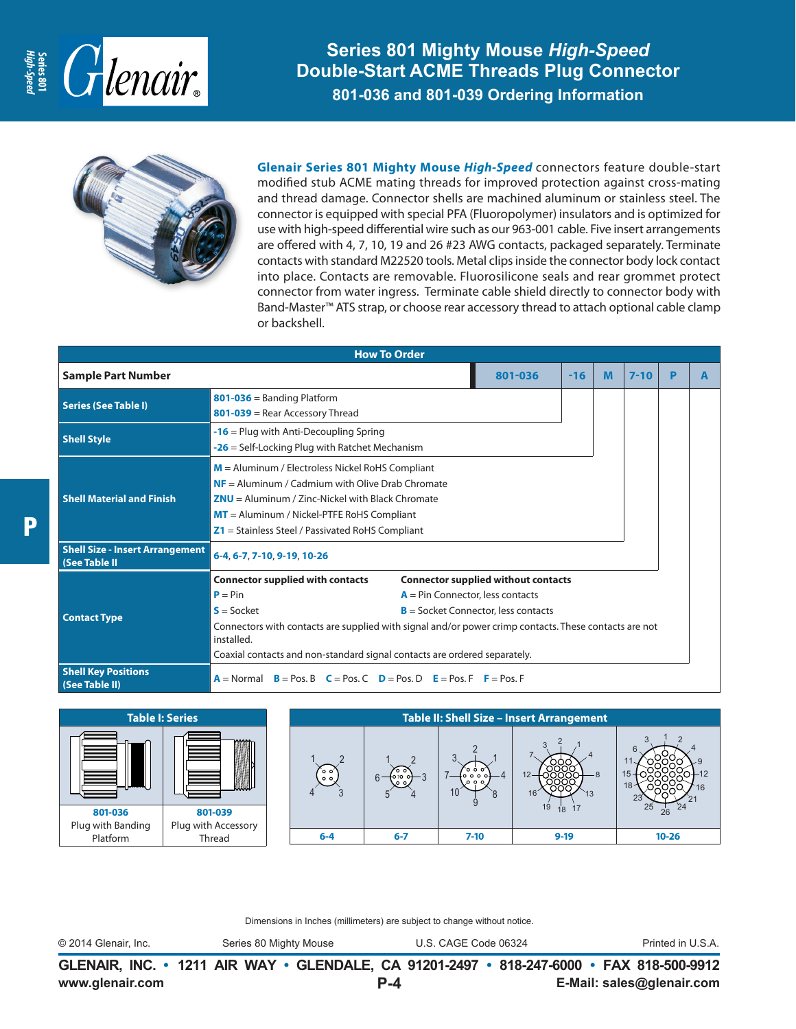

**Series 801 Mighty Mouse** *High-Speed* **Double-Start ACME Threads Plug Connector 801-036 and 801-039 Ordering Information**



**Glenair Series 801 Mighty Mouse** *High-Speed* connectors feature double-start modified stub ACME mating threads for improved protection against cross-mating and thread damage. Connector shells are machined aluminum or stainless steel. The connector is equipped with special PFA (Fluoropolymer) insulators and is optimized for use with high-speed differential wire such as our 963-001 cable. Five insert arrangements are offered with 4, 7, 10, 19 and 26 #23 AWG contacts, packaged separately. Terminate contacts with standard M22520 tools. Metal clips inside the connector body lock contact into place. Contacts are removable. Fluorosilicone seals and rear grommet protect connector from water ingress. Terminate cable shield directly to connector body with Band-Master™ ATS strap, or choose rear accessory thread to attach optional cable clamp or backshell.

|                                                         | <b>How To Order</b>                                                                                                 |  |         |       |   |          |   |   |
|---------------------------------------------------------|---------------------------------------------------------------------------------------------------------------------|--|---------|-------|---|----------|---|---|
| <b>Sample Part Number</b>                               |                                                                                                                     |  | 801-036 | $-16$ | M | $7 - 10$ | P | A |
| <b>Series (See Table I)</b>                             | $801 - 036$ = Banding Platform                                                                                      |  |         |       |   |          |   |   |
|                                                         | 801-039 = Rear Accessory Thread                                                                                     |  |         |       |   |          |   |   |
| <b>Shell Style</b>                                      | $-16$ = Plug with Anti-Decoupling Spring                                                                            |  |         |       |   |          |   |   |
|                                                         | $-26$ = Self-Locking Plug with Ratchet Mechanism                                                                    |  |         |       |   |          |   |   |
| <b>Shell Material and Finish</b>                        | $M =$ Aluminum / Electroless Nickel RoHS Compliant                                                                  |  |         |       |   |          |   |   |
|                                                         | $NF =$ Aluminum / Cadmium with Olive Drab Chromate                                                                  |  |         |       |   |          |   |   |
|                                                         | $ZNU =$ Aluminum / Zinc-Nickel with Black Chromate                                                                  |  |         |       |   |          |   |   |
|                                                         | $MT =$ Aluminum / Nickel-PTFE RoHS Compliant                                                                        |  |         |       |   |          |   |   |
|                                                         | $Z1$ = Stainless Steel / Passivated RoHS Compliant                                                                  |  |         |       |   |          |   |   |
| <b>Shell Size - Insert Arrangement</b><br>(See Table II | 6-4, 6-7, 7-10, 9-19, 10-26                                                                                         |  |         |       |   |          |   |   |
|                                                         | <b>Connector supplied with contacts</b><br><b>Connector supplied without contacts</b>                               |  |         |       |   |          |   |   |
| <b>Contact Type</b>                                     | $P = Pin$<br>$A = Pin$ Connector, less contacts                                                                     |  |         |       |   |          |   |   |
|                                                         | $S = S$ ocket<br>$B =$ Socket Connector, less contacts                                                              |  |         |       |   |          |   |   |
|                                                         | Connectors with contacts are supplied with signal and/or power crimp contacts. These contacts are not<br>installed. |  |         |       |   |          |   |   |
|                                                         | Coaxial contacts and non-standard signal contacts are ordered separately.                                           |  |         |       |   |          |   |   |
| <b>Shell Key Positions</b><br>(See Table II)            | $A = Normal$ $B = Pos. B$ $C = Pos. C$ $D = Pos. D$ $E = Pos. F$ $F = Pos. F$                                       |  |         |       |   |          |   |   |



Dimensions in Inches (millimeters) are subject to change without notice.

© 2014 Glenair, Inc. Series 80 Mighty Mouse U.S. CAGE Code 06324 Printed in U.S.A.

**www.glenair.com E-Mail: sales@glenair.com GLENAIR, INC. • 1211 AIR WAY • GLENDALE, CA 91201-2497 • 818-247-6000 • FAX 818-500-9912 P-4**